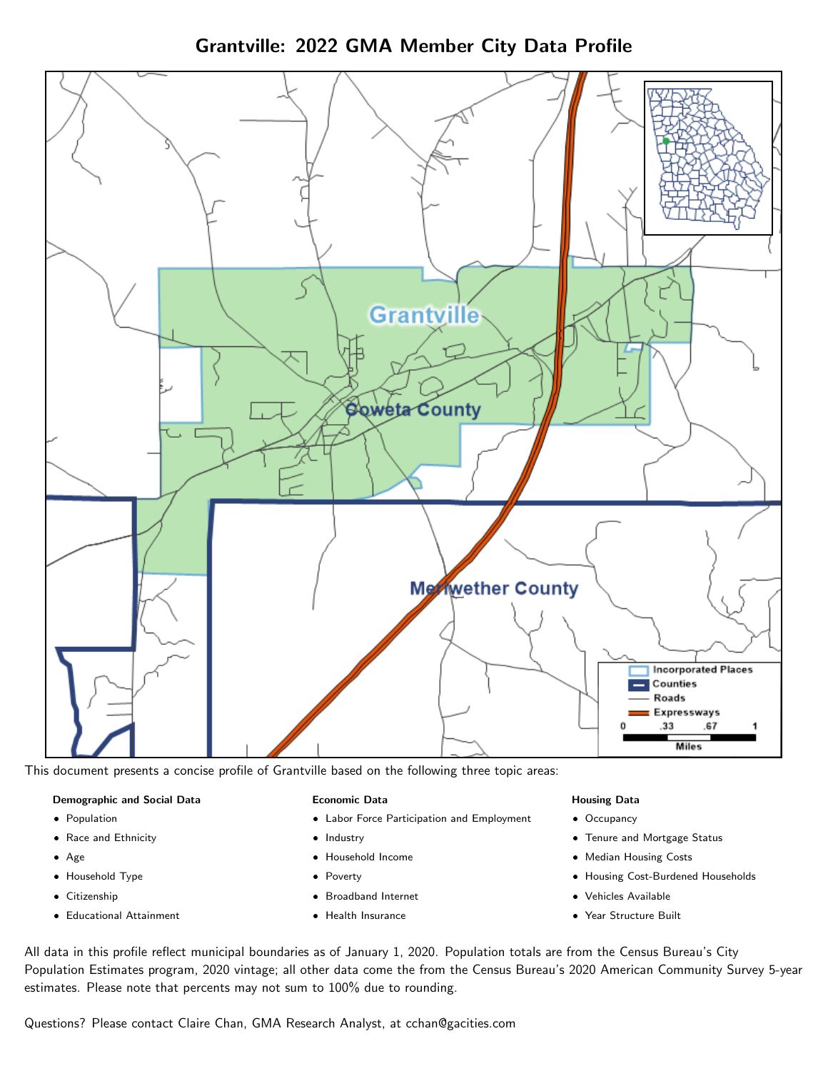Grantville: 2022 GMA Member City Data Profile



This document presents a concise profile of Grantville based on the following three topic areas:

### Demographic and Social Data

- **•** Population
- Race and Ethnicity
- Age
- Household Type
- **Citizenship**
- Educational Attainment

### Economic Data

- Labor Force Participation and Employment
- Industry
- Household Income
- Poverty
- Broadband Internet
- Health Insurance

### Housing Data

- Occupancy
- Tenure and Mortgage Status
- Median Housing Costs
- Housing Cost-Burdened Households
- Vehicles Available
- $\bullet$ Year Structure Built

All data in this profile reflect municipal boundaries as of January 1, 2020. Population totals are from the Census Bureau's City Population Estimates program, 2020 vintage; all other data come the from the Census Bureau's 2020 American Community Survey 5-year estimates. Please note that percents may not sum to 100% due to rounding.

Questions? Please contact Claire Chan, GMA Research Analyst, at [cchan@gacities.com.](mailto:cchan@gacities.com)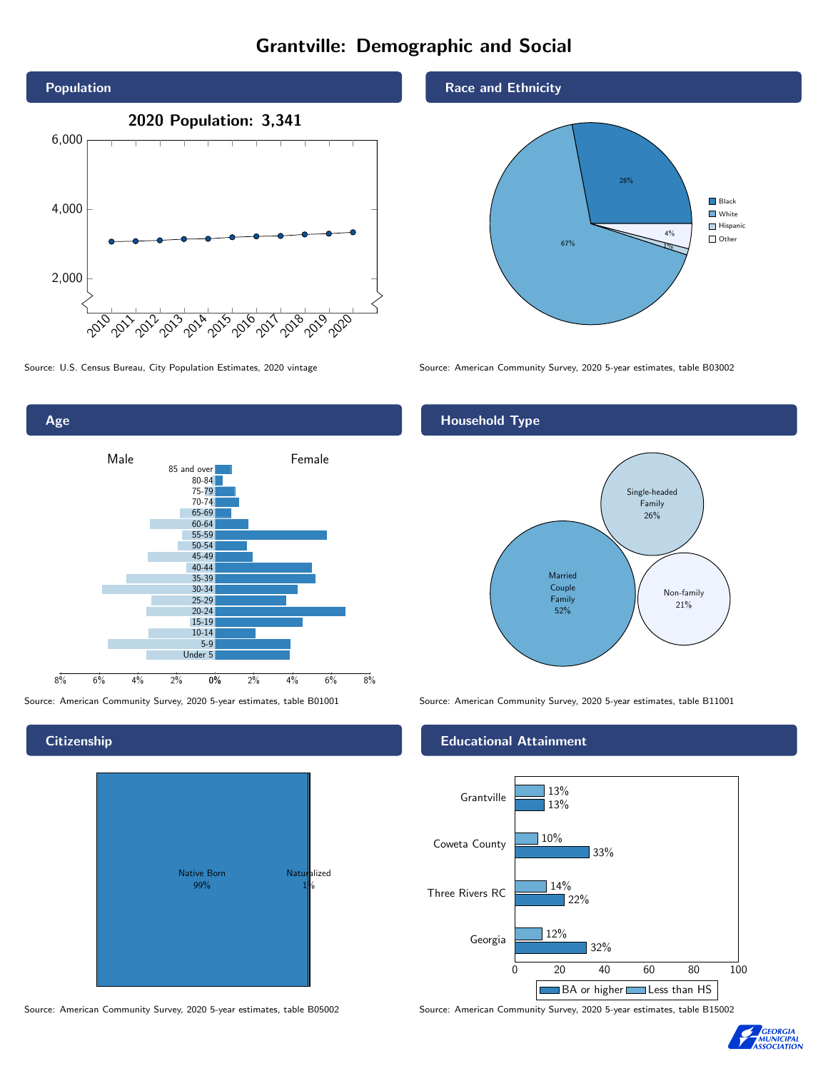# Grantville: Demographic and Social





## **Citizenship**



Race and Ethnicity



Source: U.S. Census Bureau, City Population Estimates, 2020 vintage Source: American Community Survey, 2020 5-year estimates, table B03002

## Household Type



Source: American Community Survey, 2020 5-year estimates, table B01001 Source: American Community Survey, 2020 5-year estimates, table B11001

#### Educational Attainment



Source: American Community Survey, 2020 5-year estimates, table B05002 Source: American Community Survey, 2020 5-year estimates, table B15002

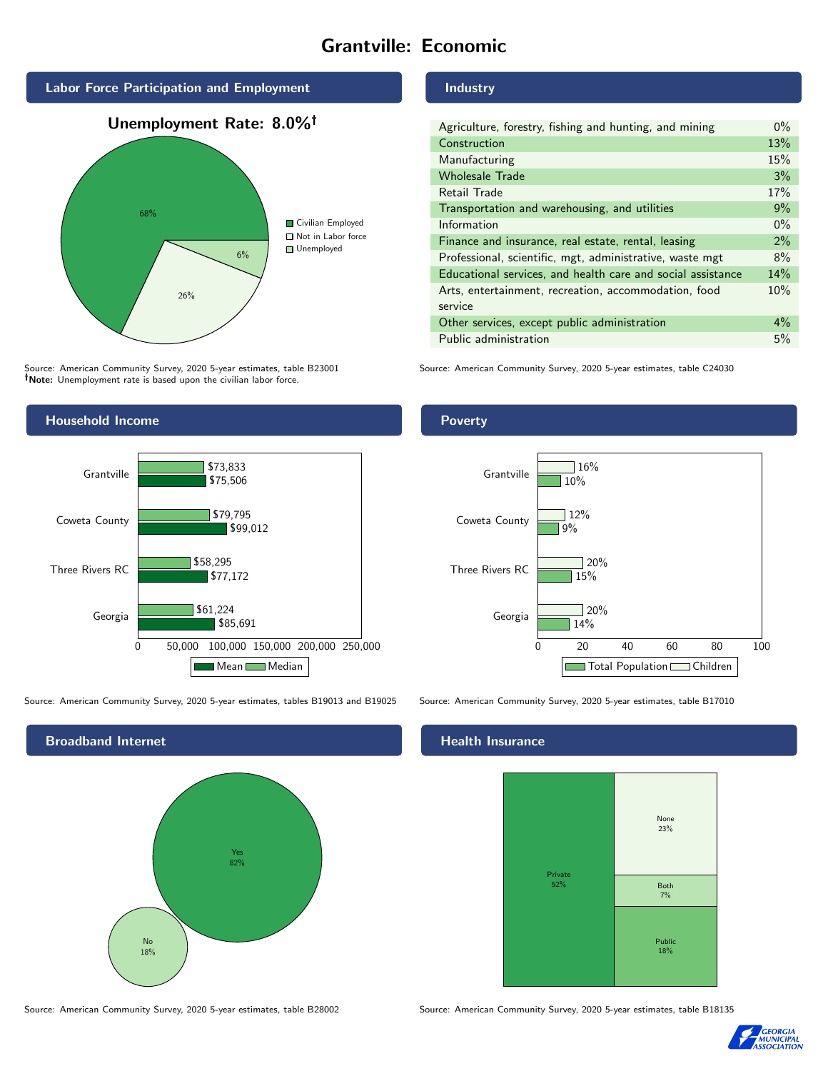# Grantville: Economic



Source: American Community Survey, 2020 5-year estimates, table B23001 Note: Unemployment rate is based upon the civilian labor force.



Source: American Community Survey, 2020 5-year estimates, tables B19013 and B19025 Source: American Community Survey, 2020 5-year estimates, table B17010



Source: American Community Survey, 2020 5-year estimates, table B28002 Source: American Community Survey, 2020 5-year estimates, table B18135

Industry

| Agriculture, forestry, fishing and hunting, and mining      | $0\%$ |
|-------------------------------------------------------------|-------|
| Construction                                                | 13%   |
| Manufacturing                                               | 15%   |
| <b>Wholesale Trade</b>                                      | 3%    |
| Retail Trade                                                | 17%   |
| Transportation and warehousing, and utilities               | 9%    |
| Information                                                 | $0\%$ |
| Finance and insurance, real estate, rental, leasing         | $2\%$ |
| Professional, scientific, mgt, administrative, waste mgt    | 8%    |
| Educational services, and health care and social assistance | 14%   |
| Arts, entertainment, recreation, accommodation, food        | 10%   |
| service                                                     |       |
| Other services, except public administration                | $4\%$ |
| Public administration                                       | 5%    |

Source: American Community Survey, 2020 5-year estimates, table C24030

Poverty



## **Health Insurance**